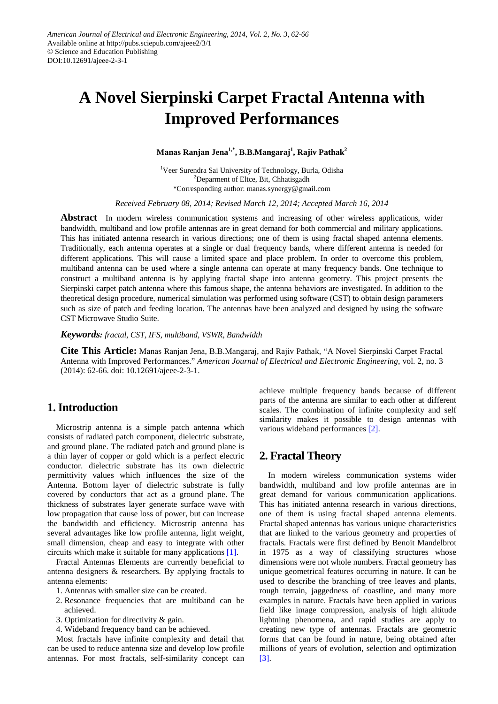# **A Novel Sierpinski Carpet Fractal Antenna with Improved Performances**

**Manas Ranjan Jena1,\*, B.B.Mangaraj<sup>1</sup> , Rajiv Pathak2**

<sup>1</sup>Veer Surendra Sai University of Technology, Burla, Odisha <sup>2</sup>Deparment of Eltce, Bit, Chhatisgadh \*Corresponding author: manas.synergy@gmail.com

*Received February 08, 2014; Revised March 12, 2014; Accepted March 16, 2014*

**Abstract** In modern wireless communication systems and increasing of other wireless applications, wider bandwidth, multiband and low profile antennas are in great demand for both commercial and military applications. This has initiated antenna research in various directions; one of them is using fractal shaped antenna elements. Traditionally, each antenna operates at a single or dual frequency bands, where different antenna is needed for different applications. This will cause a limited space and place problem. In order to overcome this problem, multiband antenna can be used where a single antenna can operate at many frequency bands. One technique to construct a multiband antenna is by applying fractal shape into antenna geometry. This project presents the Sierpinski carpet patch antenna where this famous shape, the antenna behaviors are investigated. In addition to the theoretical design procedure, numerical simulation was performed using software (CST) to obtain design parameters such as size of patch and feeding location. The antennas have been analyzed and designed by using the software CST Microwave Studio Suite.

*Keywords: fractal, CST, IFS, multiband, VSWR, Bandwidth*

**Cite This Article:** Manas Ranjan Jena, B.B.Mangaraj, and Rajiv Pathak, "A Novel Sierpinski Carpet Fractal Antenna with Improved Performances." *American Journal of Electrical and Electronic Engineering*, vol. 2, no. 3 (2014): 62-66. doi: 10.12691/ajeee-2-3-1.

# **1. Introduction**

Microstrip antenna is a simple patch antenna which consists of radiated patch component, dielectric substrate, and ground plane. The radiated patch and ground plane is a thin layer of copper or gold which is a perfect electric conductor. dielectric substrate has its own dielectric permittivity values which influences the size of the Antenna. Bottom layer of dielectric substrate is fully covered by conductors that act as a ground plane. The thickness of substrates layer generate surface wave with low propagation that cause loss of power, but can increase the bandwidth and efficiency. Microstrip antenna has several advantages like low profile antenna, light weight, small dimension, cheap and easy to integrate with other circuits which make it suitable for many applications [\[1\].](#page-4-0)

Fractal Antennas Elements are currently beneficial to antenna designers & researchers. By applying fractals to antenna elements:

- 1. Antennas with smaller size can be created.
- 2. Resonance frequencies that are multiband can be achieved.
- 3. Optimization for directivity & gain.
- 4. Wideband frequency band can be achieved.

Most fractals have infinite complexity and detail that can be used to reduce antenna size and develop low profile antennas. For most fractals, self-similarity concept can

achieve multiple frequency bands because of different parts of the antenna are similar to each other at different scales. The combination of infinite complexity and self similarity makes it possible to design antennas with various wideband performances [\[2\].](#page-4-1)

# **2. Fractal Theory**

In modern wireless communication systems wider bandwidth, multiband and low profile antennas are in great demand for various communication applications. This has initiated antenna research in various directions, one of them is using fractal shaped antenna elements. Fractal shaped antennas has various unique characteristics that are linked to the various geometry and properties of fractals. Fractals were first defined by Benoit Mandelbrot in 1975 as a way of classifying structures whose dimensions were not whole numbers. Fractal geometry has unique geometrical features occurring in nature. It can be used to describe the branching of tree leaves and plants, rough terrain, jaggedness of coastline, and many more examples in nature. Fractals have been applied in various field like image compression, analysis of high altitude lightning phenomena, and rapid studies are apply to creating new type of antennas. Fractals are geometric forms that can be found in nature, being obtained after millions of years of evolution, selection and optimization [\[3\].](#page-4-2)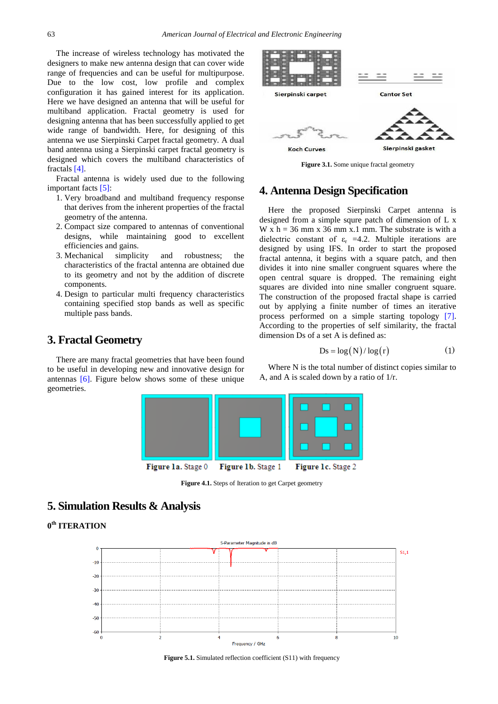The increase of wireless technology has motivated the designers to make new antenna design that can cover wide range of frequencies and can be useful for multipurpose. Due to the low cost, low profile and complex configuration it has gained interest for its application. Here we have designed an antenna that will be useful for multiband application. Fractal geometry is used for designing antenna that has been successfully applied to get wide range of bandwidth. Here, for designing of this antenna we use Sierpinski Carpet fractal geometry. A dual band antenna using a Sierpinski carpet fractal geometry is designed which covers the multiband characteristics of fractals [\[4\].](#page-4-3) 

Fractal antenna is widely used due to the following important facts [\[5\]:](#page-4-4)

- 1. Very broadband and multiband frequency response that derives from the inherent properties of the fractal geometry of the antenna.
- 2. Compact size compared to antennas of conventional designs, while maintaining good to excellent efficiencies and gains.
- 3. Mechanical simplicity and robustness; the characteristics of the fractal antenna are obtained due to its geometry and not by the addition of discrete components.
- 4. Design to particular multi frequency characteristics containing specified stop bands as well as specific multiple pass bands.

# **3. Fractal Geometry**

There are many fractal geometries that have been found to be useful in developing new and innovative design for antennas [\[6\].](#page-4-5) Figure below shows some of these unique geometries.



**Figure 3.1.** Some unique fractal geometry

# **4. Antenna Design Specification**

Here the proposed Sierpinski Carpet antenna is designed from a simple squre patch of dimension of L x W x  $h = 36$  mm x 36 mm x.1 mm. The substrate is with a dielectric constant of  $\varepsilon_r = 4.2$ . Multiple iterations are designed by using IFS. In order to start the proposed fractal antenna, it begins with a square patch, and then divides it into nine smaller congruent squares where the open central square is dropped. The remaining eight squares are divided into nine smaller congruent square. The construction of the proposed fractal shape is carried out by applying a finite number of times an iterative process performed on a simple starting topology [\[7\].](#page-4-6) According to the properties of self similarity, the fractal dimension Ds of a set A is defined as:

$$
Ds = \log(N) / \log(r)
$$
 (1)

Where N is the total number of distinct copies similar to A, and A is scaled down by a ratio of 1/r.



Figure 4.1. Steps of Iteration to get Carpet geometry

# **5. Simulation Results & Analysis**

**0th ITERATION**



**Figure 5.1.** Simulated reflection coefficient (S11) with frequency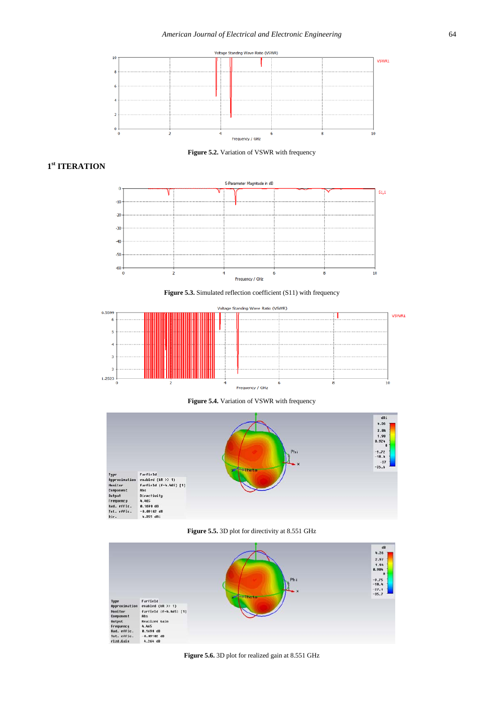

**Figure 5.2.** Variation of VSWR with frequency

### **1st ITERATION**



**Figure 5.3.** Simulated reflection coefficient (S11) with frequency



**Figure 5.4.** Variation of VSWR with frequency



**Figure 5.5.** 3D plot for directivity at 8.551 GHz



**Figure 5.6.** 3D plot for realized gain at 8.551 GHz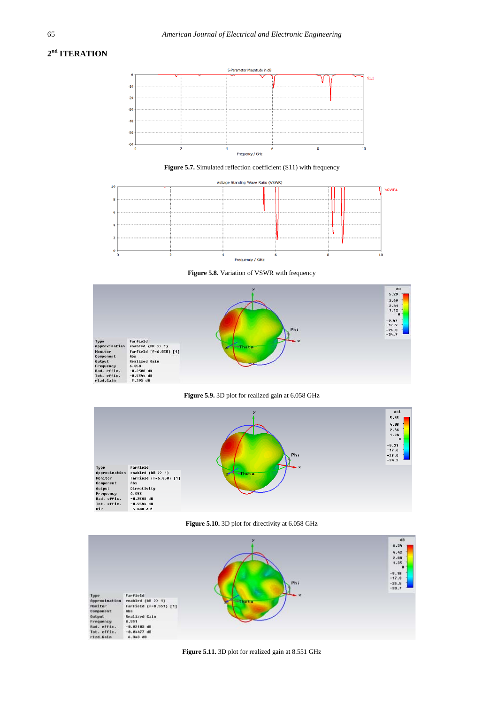# **2nd ITERATION**



**Figure 5.7.** Simulated reflection coefficient (S11) with frequency



**Figure 5.8.** Variation of VSWR with frequency



**Figure 5.9.** 3D plot for realized gain at 6.058 GHz



**Figure 5.10.** 3D plot for directivity at 6.058 GHz



**Figure 5.11.** 3D plot for realized gain at 8.551 GHz